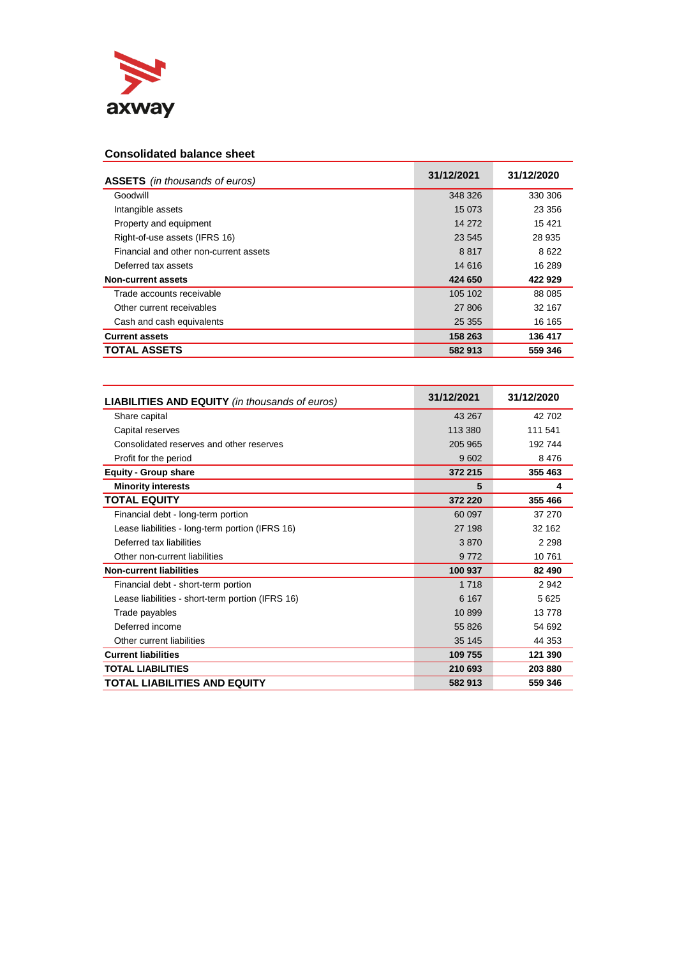

## **Consolidated balance sheet**

| <b>ASSETS</b> (in thousands of euros)  | 31/12/2021 | 31/12/2020 |
|----------------------------------------|------------|------------|
| Goodwill                               | 348 326    | 330 306    |
| Intangible assets                      | 15 0 73    | 23 356     |
| Property and equipment                 | 14 2 72    | 15421      |
| Right-of-use assets (IFRS 16)          | 23 545     | 28 935     |
| Financial and other non-current assets | 8817       | 8622       |
| Deferred tax assets                    | 14 616     | 16 289     |
| Non-current assets                     | 424 650    | 422 929    |
| Trade accounts receivable              | 105 102    | 88 0 85    |
| Other current receivables              | 27 806     | 32 167     |
| Cash and cash equivalents              | 25 3 5 5   | 16 165     |
| <b>Current assets</b>                  | 158 263    | 136 417    |
| <b>TOTAL ASSETS</b>                    | 582 913    | 559 346    |

| <b>LIABILITIES AND EQUITY</b> (in thousands of euros) | 31/12/2021 | 31/12/2020 |
|-------------------------------------------------------|------------|------------|
| Share capital                                         | 43 267     | 42 702     |
| Capital reserves                                      | 113 380    | 111 541    |
| Consolidated reserves and other reserves              | 205 965    | 192744     |
| Profit for the period                                 | 9602       | 8476       |
| <b>Equity - Group share</b>                           | 372 215    | 355 463    |
| <b>Minority interests</b>                             | 5          | 4          |
| <b>TOTAL EQUITY</b>                                   | 372 220    | 355 466    |
| Financial debt - long-term portion                    | 60 097     | 37 270     |
| Lease liabilities - long-term portion (IFRS 16)       | 27 198     | 32 162     |
| Deferred tax liabilities                              | 3870       | 2 2 9 8    |
| Other non-current liabilities                         | 9772       | 10761      |
| <b>Non-current liabilities</b>                        | 100 937    | 82 490     |
| Financial debt - short-term portion                   | 1718       | 2942       |
| Lease liabilities - short-term portion (IFRS 16)      | 6 1 6 7    | 5625       |
| Trade payables                                        | 10899      | 13778      |
| Deferred income                                       | 55 826     | 54 692     |
| Other current liabilities                             | 35 145     | 44 353     |
| <b>Current liabilities</b>                            | 109 755    | 121 390    |
| <b>TOTAL LIABILITIES</b>                              | 210 693    | 203 880    |
| <b>TOTAL LIABILITIES AND EQUITY</b>                   | 582 913    | 559 346    |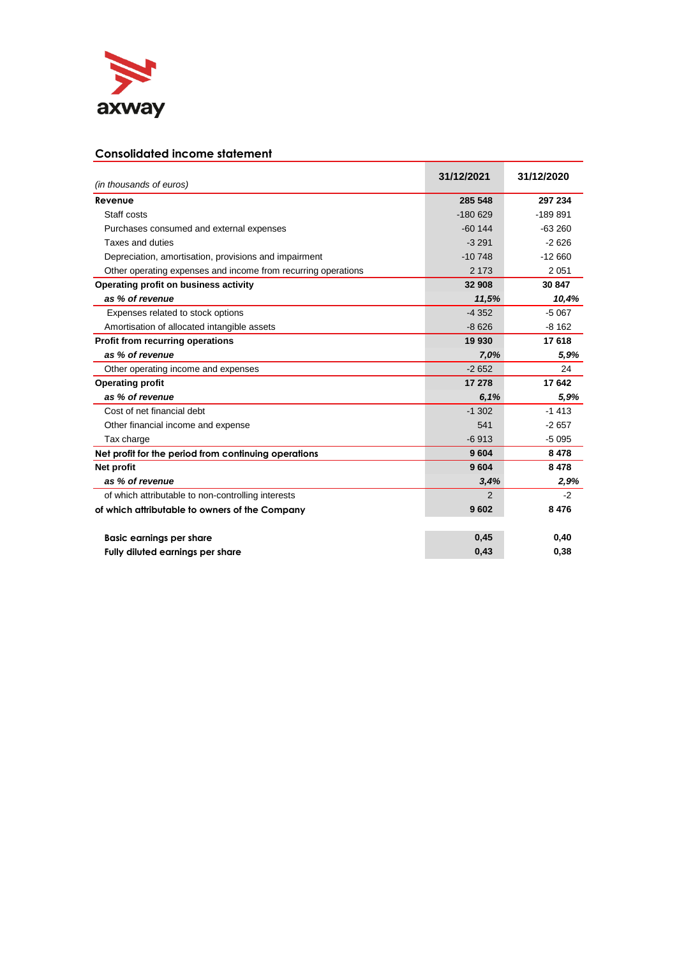

## **Consolidated income statement**

| (in thousands of euros)                                       | 31/12/2021    | 31/12/2020 |
|---------------------------------------------------------------|---------------|------------|
| Revenue                                                       | 285 548       | 297 234    |
| Staff costs                                                   | $-180629$     | $-189891$  |
| Purchases consumed and external expenses                      | $-60144$      | $-63260$   |
| Taxes and duties                                              | $-3291$       | $-2626$    |
| Depreciation, amortisation, provisions and impairment         | $-10748$      | $-12660$   |
| Other operating expenses and income from recurring operations | 2 1 7 3       | 2051       |
| Operating profit on business activity                         | 32 908        | 30 847     |
| as % of revenue                                               | 11,5%         | 10,4%      |
| Expenses related to stock options                             | $-4352$       | $-5067$    |
| Amortisation of allocated intangible assets                   | $-8626$       | $-8162$    |
| <b>Profit from recurring operations</b>                       | 19 930        | 17618      |
| as % of revenue                                               | 7,0%          | 5,9%       |
| Other operating income and expenses                           | $-2652$       | 24         |
| <b>Operating profit</b>                                       | 17 278        | 17642      |
| as % of revenue                                               | 6,1%          | 5,9%       |
| Cost of net financial debt                                    | $-1302$       | $-1413$    |
| Other financial income and expense                            | 541           | $-2657$    |
| Tax charge                                                    | $-6913$       | $-5095$    |
| Net profit for the period from continuing operations          | 9604          | 8478       |
| Net profit                                                    | 9604          | 8478       |
| as % of revenue                                               | 3,4%          | 2,9%       |
| of which attributable to non-controlling interests            | $\mathcal{P}$ | $-2$       |
| of which attributable to owners of the Company                | 9602          | 8476       |
| <b>Basic earnings per share</b>                               | 0,45          | 0,40       |
| Fully diluted earnings per share                              | 0,43          | 0,38       |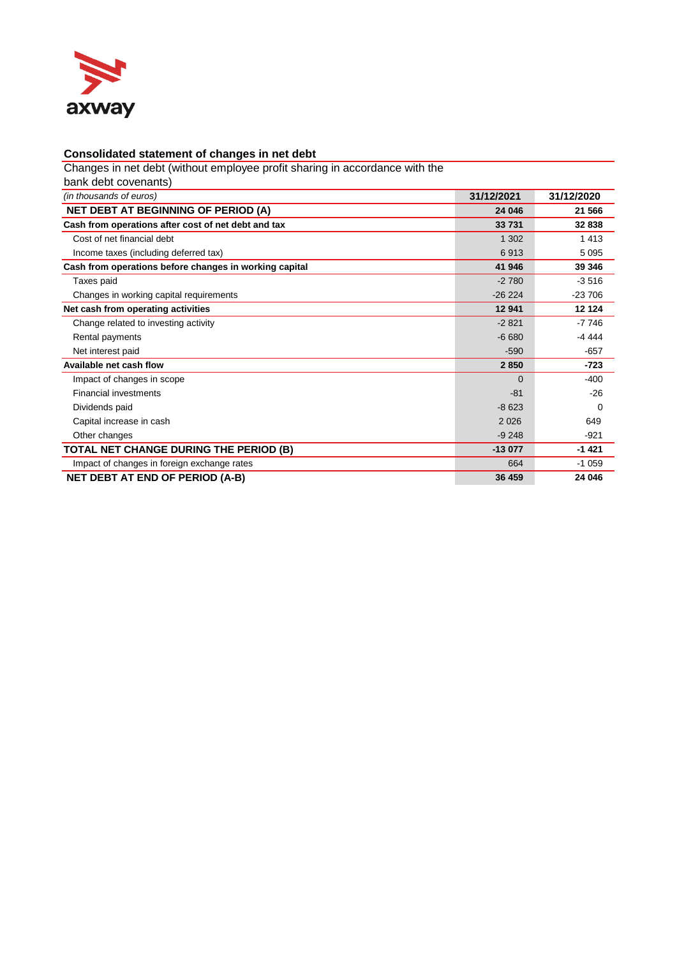

## **Consolidated statement of changes in net debt**

Changes in net debt (without employee profit sharing in accordance with the

| bank debt covenants)                                   |            |            |
|--------------------------------------------------------|------------|------------|
| (in thousands of euros)                                | 31/12/2021 | 31/12/2020 |
| <b>NET DEBT AT BEGINNING OF PERIOD (A)</b>             | 24 046     | 21 566     |
| Cash from operations after cost of net debt and tax    | 33731      | 32838      |
| Cost of net financial debt                             | 1 3 0 2    | 1413       |
| Income taxes (including deferred tax)                  | 6913       | 5095       |
| Cash from operations before changes in working capital | 41 946     | 39 346     |
| Taxes paid                                             | $-2780$    | $-3516$    |
| Changes in working capital requirements                | $-26224$   | $-23706$   |
| Net cash from operating activities                     | 12 941     | 12 124     |
| Change related to investing activity                   | $-2821$    | $-7746$    |
| Rental payments                                        | $-6680$    | -4 444     |
| Net interest paid                                      | $-590$     | $-657$     |
| Available net cash flow                                | 2850       | $-723$     |
| Impact of changes in scope                             | $\Omega$   | $-400$     |
| <b>Financial investments</b>                           | $-81$      | $-26$      |
| Dividends paid                                         | $-8623$    | $\Omega$   |
| Capital increase in cash                               | 2026       | 649        |
| Other changes                                          | $-9248$    | $-921$     |
| TOTAL NET CHANGE DURING THE PERIOD (B)                 | $-13077$   | $-1421$    |
| Impact of changes in foreign exchange rates            | 664        | $-1059$    |
| <b>NET DEBT AT END OF PERIOD (A-B)</b>                 | 36 459     | 24 046     |